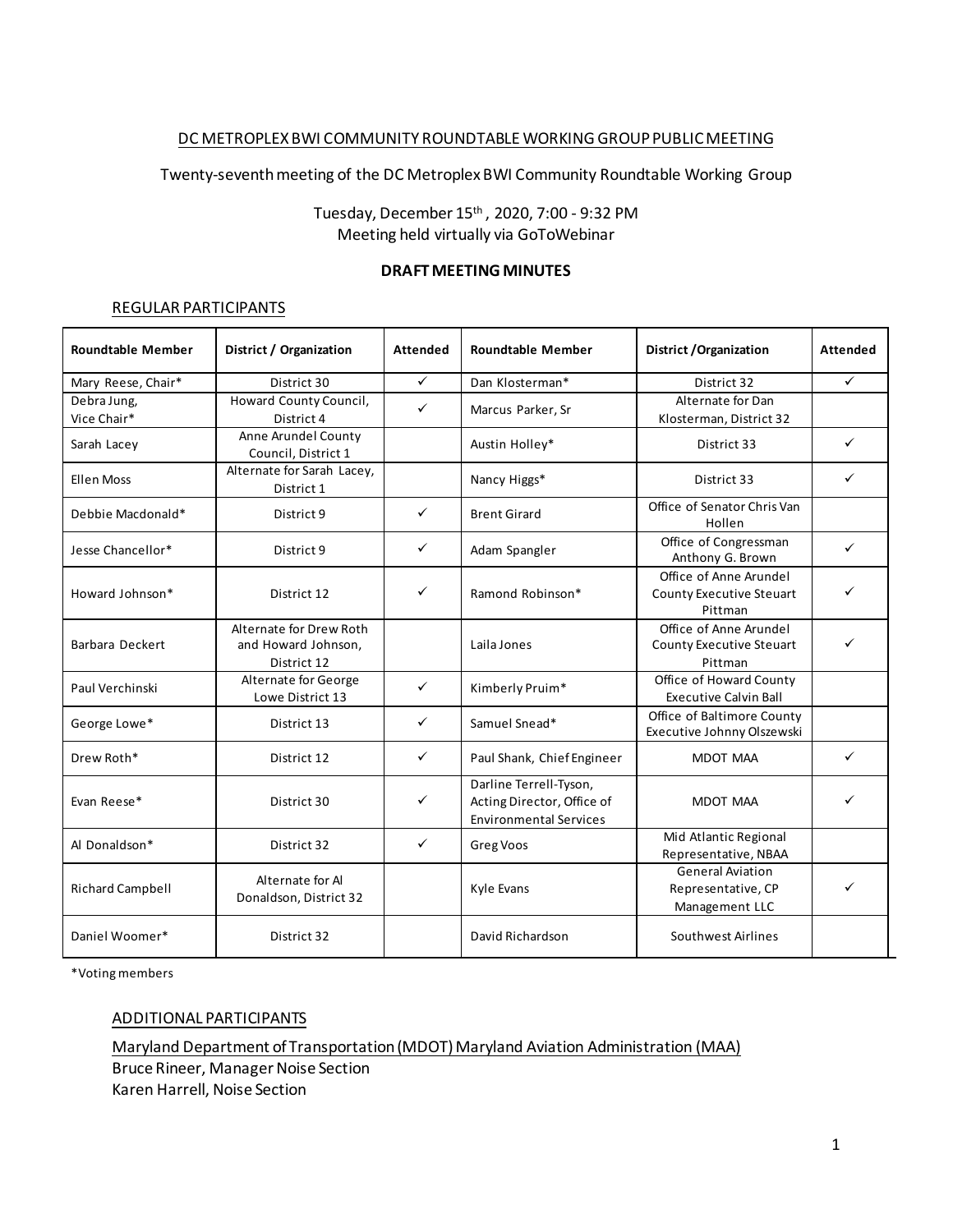### DC METROPLEX BWI COMMUNITY ROUNDTABLE WORKING GROUPPUBLIC MEETING

Twenty-seventhmeeting of the DC Metroplex BWI Community Roundtable Working Group

Tuesday, December 15th , 2020, 7:00 - 9:32 PM Meeting held virtually via GoToWebinar

#### **DRAFT MEETING MINUTES**

#### REGULAR PARTICIPANTS

| <b>Roundtable Member</b>   | District / Organization                                       | Attended     | <b>Roundtable Member</b>                                                              | District / Organization                                         | Attended     |
|----------------------------|---------------------------------------------------------------|--------------|---------------------------------------------------------------------------------------|-----------------------------------------------------------------|--------------|
| Mary Reese, Chair*         | District 30                                                   | $\checkmark$ | Dan Klosterman*                                                                       | District 32                                                     | $\checkmark$ |
| Debra Jung,<br>Vice Chair* | Howard County Council,<br>District 4                          | ✓            | Marcus Parker, Sr                                                                     | Alternate for Dan<br>Klosterman, District 32                    |              |
| Sarah Lacey                | Anne Arundel County<br>Council, District 1                    |              | Austin Holley*                                                                        | District 33                                                     | $\checkmark$ |
| <b>Ellen Moss</b>          | Alternate for Sarah Lacey,<br>District 1                      |              | Nancy Higgs*                                                                          | District 33                                                     | ✓            |
| Debbie Macdonald*          | District 9                                                    | ✓            | <b>Brent Girard</b>                                                                   | Office of Senator Chris Van<br>Hollen                           |              |
| Jesse Chancellor*          | District 9                                                    | ✓            | Adam Spangler                                                                         | Office of Congressman<br>Anthony G. Brown                       | ✓            |
| Howard Johnson*            | District 12                                                   | ✓            | Ramond Robinson*                                                                      | Office of Anne Arundel<br>County Executive Steuart<br>Pittman   | ✓            |
| Barbara Deckert            | Alternate for Drew Roth<br>and Howard Johnson,<br>District 12 |              | Laila Jones                                                                           | Office of Anne Arundel<br>County Executive Steuart<br>Pittman   | ✓            |
| Paul Verchinski            | Alternate for George<br>Lowe District 13                      | $\checkmark$ | Kimberly Pruim*                                                                       | Office of Howard County<br><b>Executive Calvin Ball</b>         |              |
| George Lowe*               | District 13                                                   | ✓            | Samuel Snead*                                                                         | Office of Baltimore County<br>Executive Johnny Olszewski        |              |
| Drew Roth*                 | District 12                                                   | ✓            | Paul Shank, Chief Engineer                                                            | <b>MDOT MAA</b>                                                 | ✓            |
| Evan Reese*                | District 30                                                   | ✓            | Darline Terrell-Tyson,<br>Acting Director, Office of<br><b>Environmental Services</b> | MDOT MAA                                                        | ✓            |
| Al Donaldson*              | District 32                                                   | ✓            | Greg Voos                                                                             | Mid Atlantic Regional<br>Representative, NBAA                   |              |
| <b>Richard Campbell</b>    | Alternate for Al<br>Donaldson, District 32                    |              | Kyle Evans                                                                            | <b>General Aviation</b><br>Representative, CP<br>Management LLC | ✓            |
| Daniel Woomer*             | District 32                                                   |              | David Richardson                                                                      | Southwest Airlines                                              |              |

\*Voting members

### ADDITIONAL PARTICIPANTS

Maryland Department of Transportation (MDOT) Maryland Aviation Administration (MAA)

Bruce Rineer, Manager Noise Section Karen Harrell, Noise Section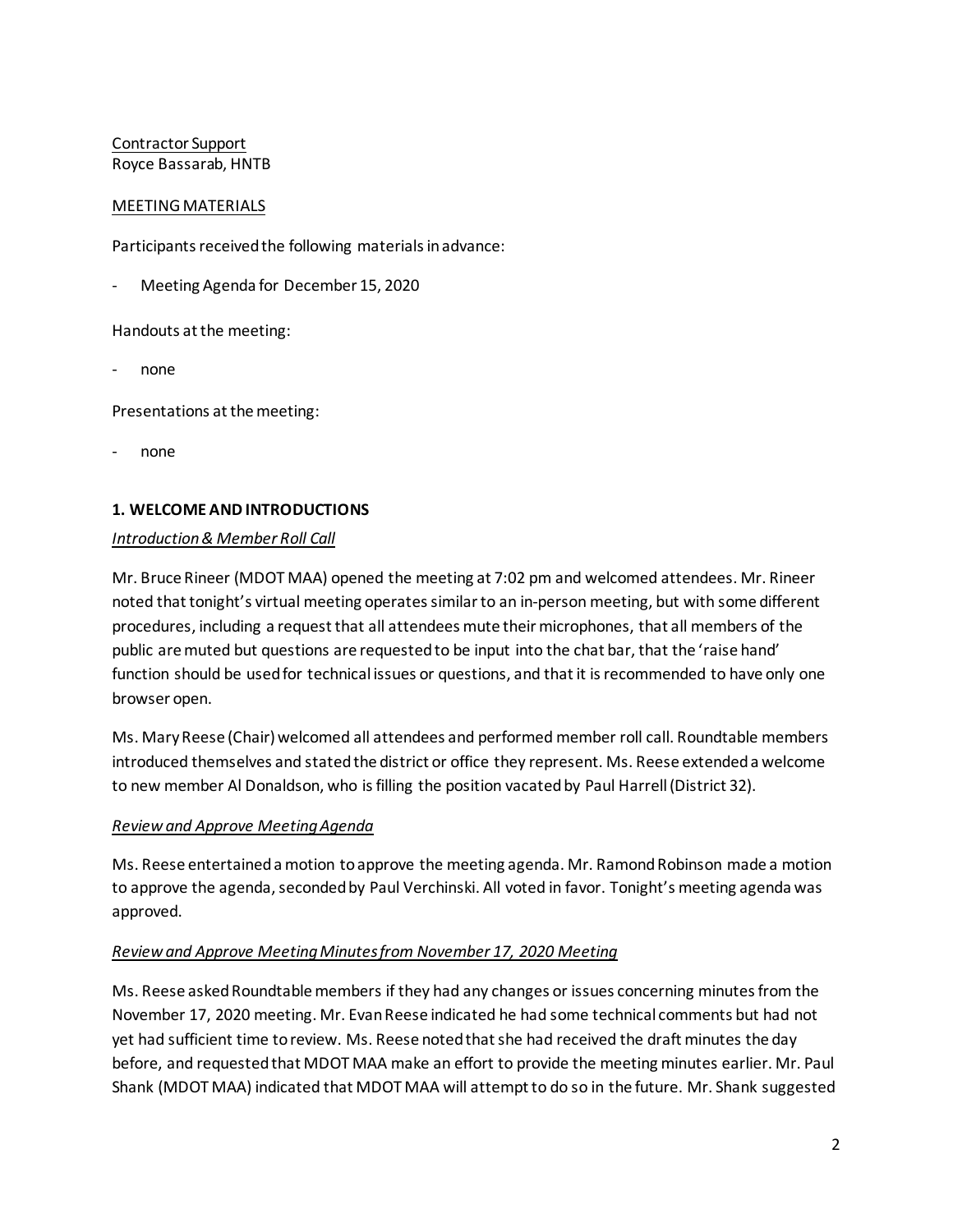Contractor Support Royce Bassarab, HNTB

## MEETING MATERIALS

Participants received the following materials in advance:

Meeting Agenda for December 15, 2020

Handouts at the meeting:

- none

Presentations at the meeting:

- none

## **1. WELCOME AND INTRODUCTIONS**

### *Introduction & Member Roll Call*

Mr. Bruce Rineer (MDOT MAA) opened the meeting at 7:02 pm and welcomed attendees. Mr. Rineer noted that tonight's virtual meeting operates similar to an in-person meeting, but with some different procedures, including a request that all attendees mute their microphones, that all members of the public are muted but questions are requested to be input into the chat bar, that the 'raise hand' function should be used for technical issues or questions, and that it is recommended to have only one browser open.

Ms. Mary Reese (Chair) welcomed all attendees and performed member roll call. Roundtable members introduced themselves and stated the district or office they represent. Ms. Reese extended a welcome to new member Al Donaldson, who is filling the position vacated by Paul Harrell (District 32).

### *Review and Approve Meeting Agenda*

Ms. Reese entertained a motion to approve the meeting agenda. Mr. Ramond Robinson made a motion to approve the agenda, seconded by Paul Verchinski. All voted in favor. Tonight's meeting agenda was approved.

# *Review and Approve Meeting Minutes from November 17, 2020 Meeting*

Ms. Reese asked Roundtable members if they had any changes or issues concerning minutes from the November 17, 2020 meeting. Mr. Evan Reese indicated he had some technical comments but had not yet had sufficient time to review. Ms. Reese noted that she had received the draft minutes the day before, and requested that MDOT MAA make an effort to provide the meeting minutes earlier. Mr. Paul Shank (MDOT MAA) indicated that MDOT MAA will attempt to do so in the future. Mr. Shank suggested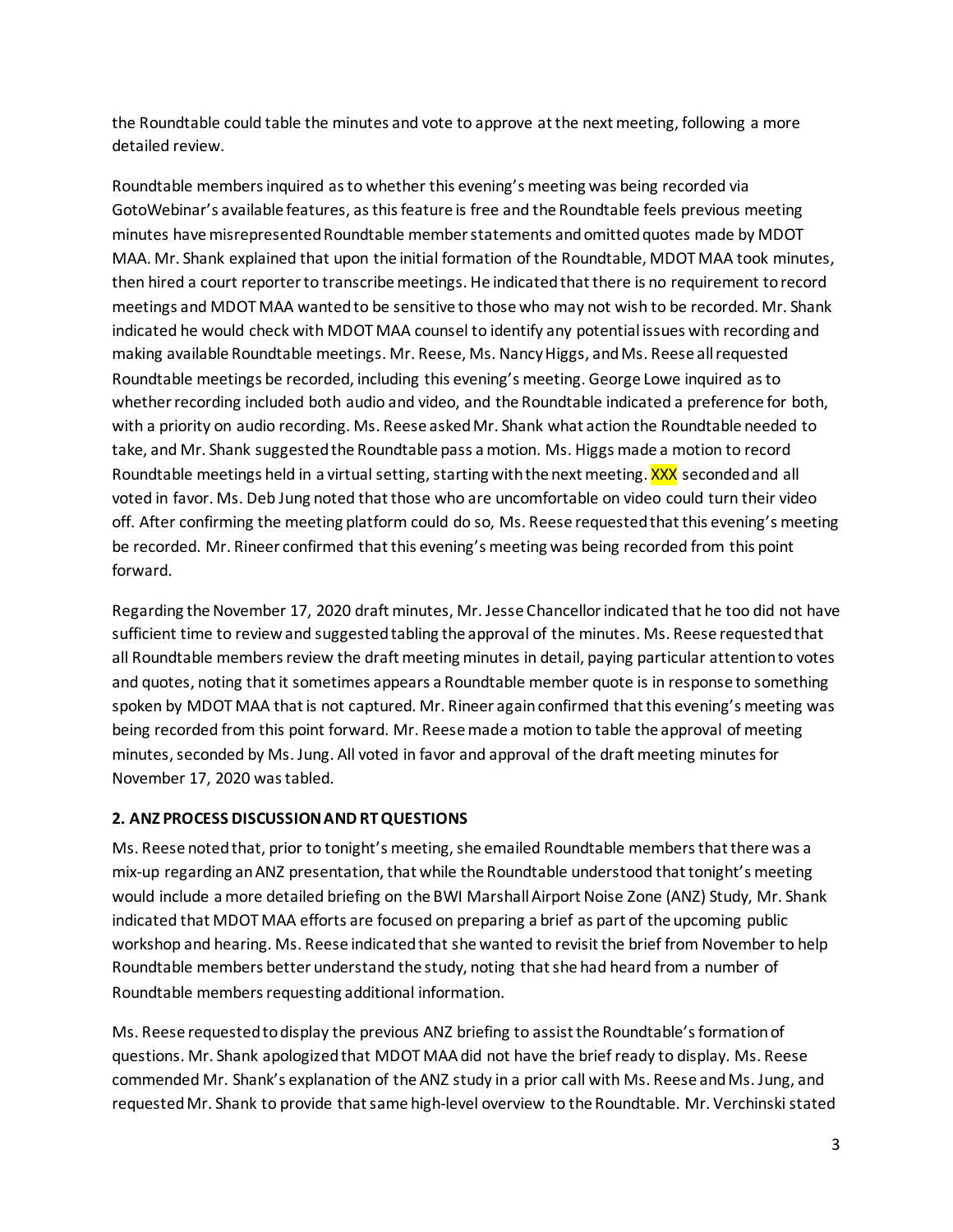the Roundtable could table the minutes and vote to approve at the next meeting, following a more detailed review.

Roundtable members inquired as to whether this evening's meeting was being recorded via GotoWebinar's available features, as this feature is free and the Roundtable feels previous meeting minutes have misrepresented Roundtable member statements and omittedquotes made by MDOT MAA. Mr. Shank explained that upon the initial formation of the Roundtable, MDOT MAA took minutes, then hired a court reporter to transcribe meetings. He indicated that there is no requirement to record meetings and MDOT MAA wanted to be sensitive to those who may not wish to be recorded. Mr. Shank indicated he would check with MDOT MAA counsel to identify any potential issues with recording and making available Roundtable meetings. Mr. Reese, Ms. Nancy Higgs, and Ms. Reese all requested Roundtable meetings be recorded, including this evening's meeting. George Lowe inquired as to whether recording included both audio and video, and the Roundtable indicated a preference for both, with a priority on audio recording. Ms. Reese asked Mr. Shank what action the Roundtable needed to take, and Mr. Shank suggested the Roundtable pass a motion. Ms. Higgs made a motion to record Roundtable meetings held in a virtual setting, starting with the next meeting. XXX seconded and all voted in favor. Ms. Deb Jung noted that those who are uncomfortable on video could turn their video off. After confirming the meeting platform could do so, Ms. Reese requested that this evening's meeting be recorded. Mr. Rineer confirmed that this evening's meeting was being recorded from this point forward.

Regarding the November 17, 2020 draft minutes, Mr. Jesse Chancellor indicated that he too did not have sufficient time to review and suggested tabling the approval of the minutes. Ms. Reese requested that all Roundtable members review the draft meeting minutes in detail, paying particular attention to votes and quotes, noting that it sometimes appears a Roundtable member quote is in response to something spoken by MDOT MAA that is not captured. Mr. Rineer again confirmed that this evening's meeting was being recorded from this point forward. Mr. Reese made a motion to table the approval of meeting minutes, seconded by Ms. Jung. All voted in favor and approval of the draft meeting minutes for November 17, 2020 was tabled.

# **2. ANZ PROCESS DISCUSSION AND RT QUESTIONS**

Ms. Reese noted that, prior to tonight's meeting, she emailed Roundtable members that there was a mix-up regarding an ANZ presentation, that while the Roundtable understood that tonight's meeting would include a more detailed briefing on the BWI Marshall Airport Noise Zone (ANZ) Study, Mr. Shank indicated that MDOT MAA efforts are focused on preparing a brief as part of the upcoming public workshop and hearing. Ms. Reese indicated that she wanted to revisit the brief from November to help Roundtable members better understand the study, noting that she had heard from a number of Roundtable members requesting additional information.

Ms. Reese requested to display the previous ANZ briefing to assist the Roundtable's formation of questions. Mr. Shank apologized that MDOT MAA did not have the brief ready to display. Ms. Reese commended Mr. Shank's explanation of the ANZ study in a prior call with Ms. Reese and Ms. Jung, and requested Mr. Shank to provide that same high-level overview to the Roundtable. Mr. Verchinski stated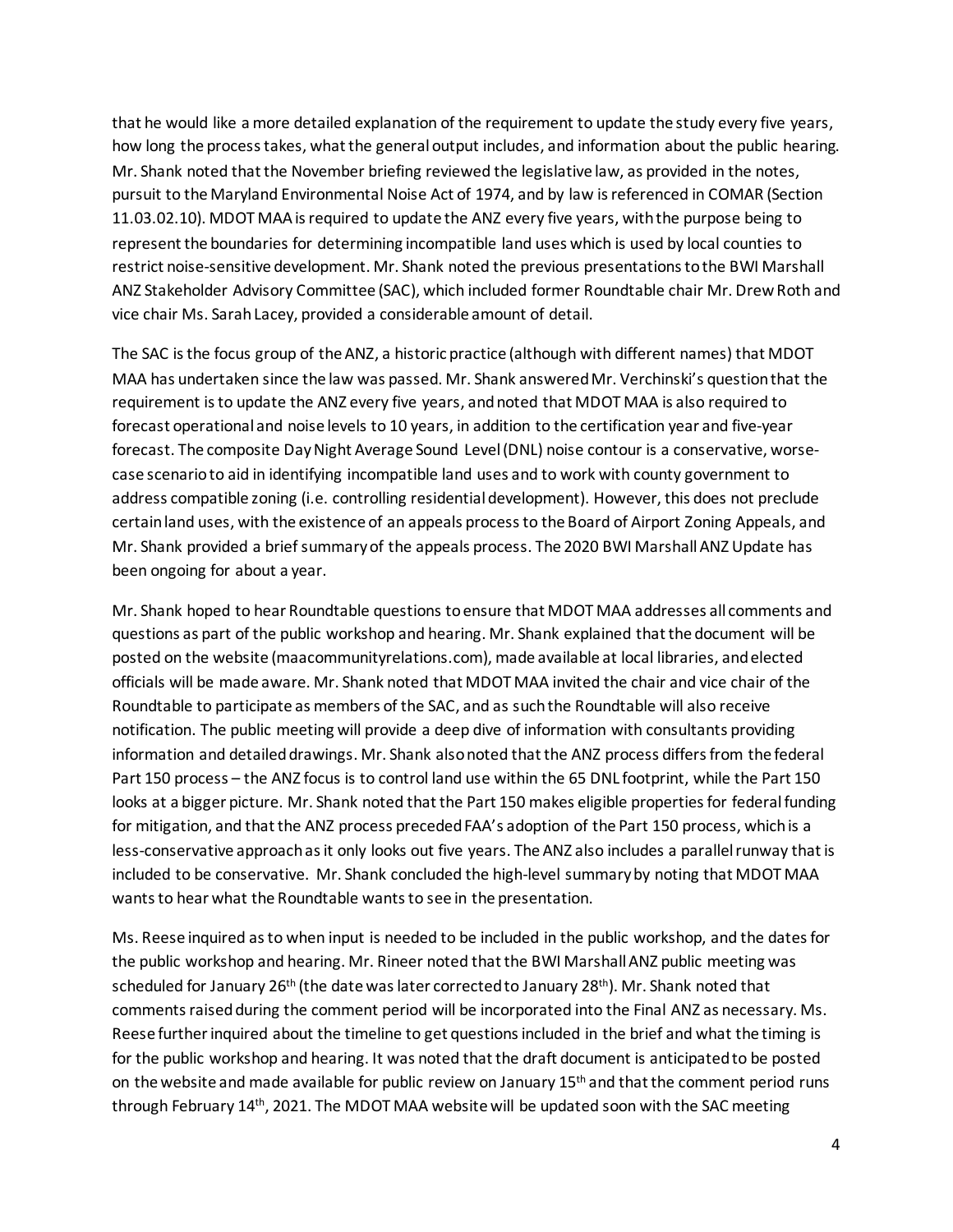that he would like a more detailed explanation of the requirement to update the study every five years, how long the process takes, what the general output includes, and information about the public hearing. Mr. Shank noted that the November briefing reviewed the legislative law, as provided in the notes, pursuit to the Maryland Environmental Noise Act of 1974, and by law is referenced in COMAR (Section 11.03.02.10). MDOT MAA is required to update the ANZ every five years, withthe purpose being to represent the boundaries for determining incompatible land uses which is used by local counties to restrict noise-sensitive development. Mr. Shank noted the previous presentations to the BWI Marshall ANZ Stakeholder Advisory Committee (SAC), which included former Roundtable chair Mr. Drew Roth and vice chair Ms. Sarah Lacey, provided a considerable amount of detail.

The SAC is the focus group of the ANZ, a historic practice (although with different names) that MDOT MAA has undertaken since the law was passed. Mr. Shank answered Mr. Verchinski's question that the requirement is to update the ANZ every five years, and noted that MDOT MAA is also required to forecast operational and noise levels to 10 years, in addition to the certification year and five-year forecast. The composite Day Night Average Sound Level (DNL) noise contour is a conservative, worsecase scenario to aid in identifying incompatible land uses and to work with county government to address compatible zoning (i.e. controlling residential development). However, this does not preclude certain land uses, with the existence of an appeals process to the Board of Airport Zoning Appeals, and Mr. Shank provided a brief summary of the appeals process. The 2020 BWI Marshall ANZ Update has been ongoing for about a year.

Mr. Shank hoped to hear Roundtable questions to ensure that MDOT MAA addresses all comments and questions as part of the public workshop and hearing. Mr. Shank explained that the document will be posted on the website (maacommunityrelations.com), made available at local libraries, and elected officials will be made aware. Mr. Shank noted that MDOT MAA invited the chair and vice chair of the Roundtable to participate as members of the SAC, and as such the Roundtable will also receive notification. The public meeting will provide a deep dive of information with consultants providing information and detailed drawings. Mr. Shank also noted that the ANZ process differs from the federal Part 150 process – the ANZ focus is to control land use within the 65 DNL footprint, while the Part 150 looks at a bigger picture. Mr. Shank noted that the Part 150 makes eligible properties for federal funding for mitigation, and that the ANZ process preceded FAA's adoption of the Part 150 process, whichis a less-conservative approach as it only looks out five years. The ANZ also includes a parallel runway that is included to be conservative. Mr. Shank concluded the high-level summary by noting that MDOT MAA wants to hear what the Roundtable wants to see in the presentation.

Ms. Reese inquired as to when input is needed to be included in the public workshop, and the dates for the public workshop and hearing. Mr. Rineer noted that the BWI Marshall ANZ public meeting was scheduled for January 26th (the date was later corrected to January 28th). Mr. Shank noted that comments raised during the comment period will be incorporated into the Final ANZ as necessary. Ms. Reese further inquired about the timeline to get questions included in the brief and what the timing is for the public workshop and hearing. It was noted that the draft document is anticipated to be posted on the website and made available for public review on January 15<sup>th</sup> and that the comment period runs through February 14th, 2021. The MDOT MAA website will be updated soon with the SAC meeting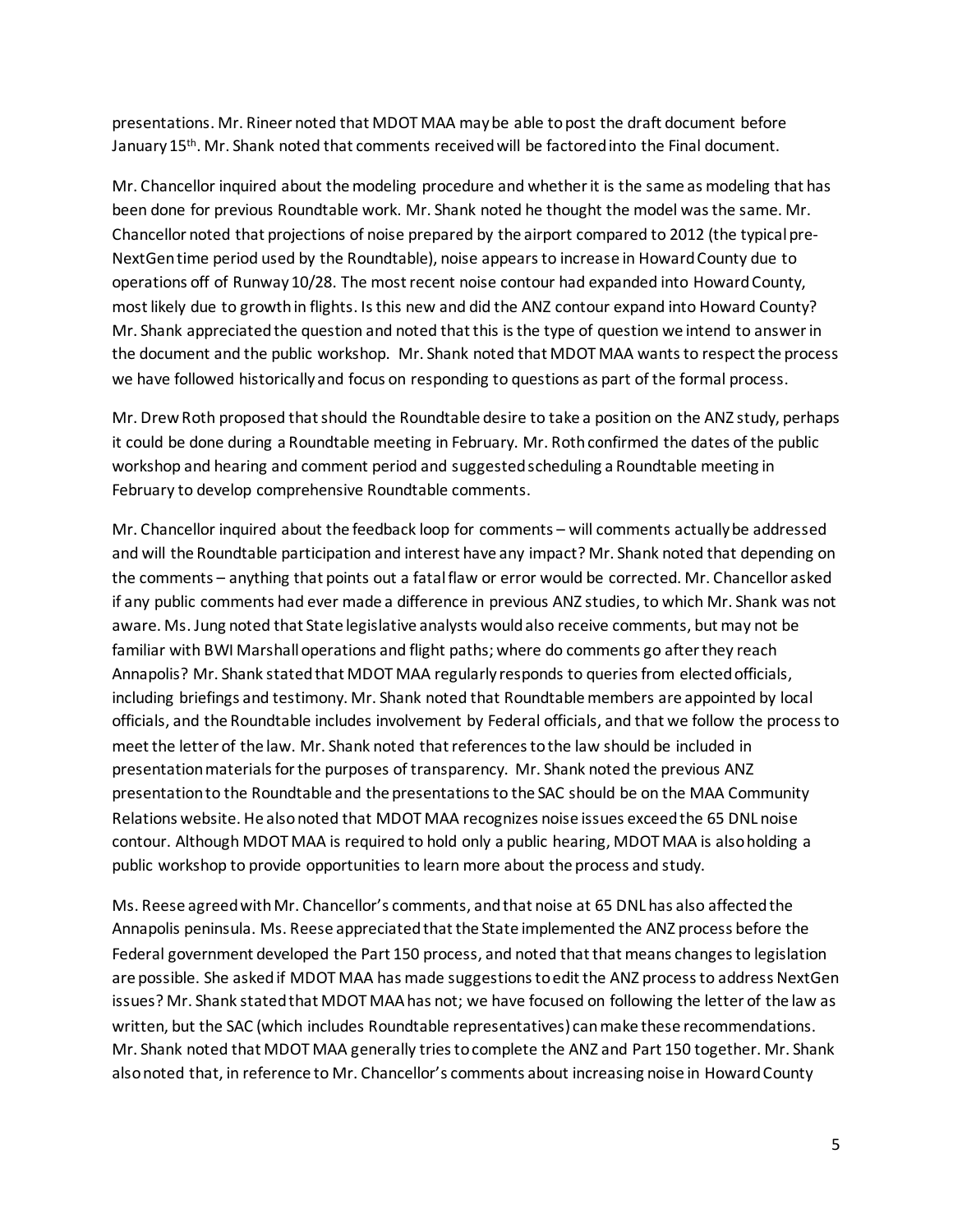presentations. Mr. Rineer noted that MDOT MAA may be able to post the draft document before January 15<sup>th</sup>. Mr. Shank noted that comments received will be factored into the Final document.

Mr. Chancellor inquired about the modeling procedure and whether it is the same as modeling that has been done for previous Roundtable work. Mr. Shank noted he thought the model was the same. Mr. Chancellor noted that projections of noise prepared by the airport compared to 2012 (the typical pre-NextGen time period used by the Roundtable), noise appears to increase in Howard County due to operations off of Runway 10/28. The most recent noise contour had expanded into Howard County, most likely due to growth in flights. Is this new and did the ANZ contour expand into Howard County? Mr. Shank appreciated the question and noted that this is the type of question we intend to answer in the document and the public workshop. Mr. Shank noted that MDOT MAA wants to respect the process we have followed historically and focus on responding to questions as part of the formal process.

Mr. Drew Roth proposed that should the Roundtable desire to take a position on the ANZ study, perhaps it could be done during a Roundtable meeting in February. Mr. Roth confirmed the dates of the public workshop and hearing and comment period and suggested scheduling a Roundtable meeting in February to develop comprehensive Roundtable comments.

Mr. Chancellor inquired about the feedback loop for comments – will comments actually be addressed and will the Roundtable participation and interest have any impact? Mr. Shank noted that depending on the comments – anything that points out a fatal flaw or error would be corrected. Mr. Chancellor asked if any public comments had ever made a difference in previous ANZ studies, to which Mr. Shank was not aware. Ms. Jung noted that State legislative analysts would also receive comments, but may not be familiar with BWI Marshall operations and flight paths; where do comments go after they reach Annapolis? Mr. Shank stated that MDOT MAA regularly responds to queries from elected officials, including briefings and testimony. Mr. Shank noted that Roundtable members are appointed by local officials, and the Roundtable includes involvement by Federal officials, and that we follow the process to meet the letter of the law. Mr. Shank noted that references to the law should be included in presentation materials for the purposes of transparency. Mr. Shank noted the previous ANZ presentation to the Roundtable and the presentations to the SAC should be on the MAA Community Relations website. He also noted that MDOT MAA recognizes noise issues exceed the 65 DNL noise contour. Although MDOT MAA is required to hold only a public hearing, MDOT MAA is also holding a public workshop to provide opportunities to learn more about the process and study.

Ms. Reese agreed with Mr. Chancellor's comments, and that noise at 65 DNL has also affected the Annapolis peninsula. Ms. Reese appreciated that the State implemented the ANZ process before the Federal government developed the Part 150 process, and noted that that means changes to legislation are possible. She asked if MDOT MAA has made suggestionsto edit the ANZ process to address NextGen issues? Mr. Shank stated that MDOT MAA has not; we have focused on following the letter of the law as written, but the SAC (which includes Roundtable representatives) can make these recommendations. Mr. Shank noted that MDOT MAA generally tries to complete the ANZ and Part 150 together. Mr. Shank also noted that, in reference to Mr. Chancellor's comments about increasing noise in Howard County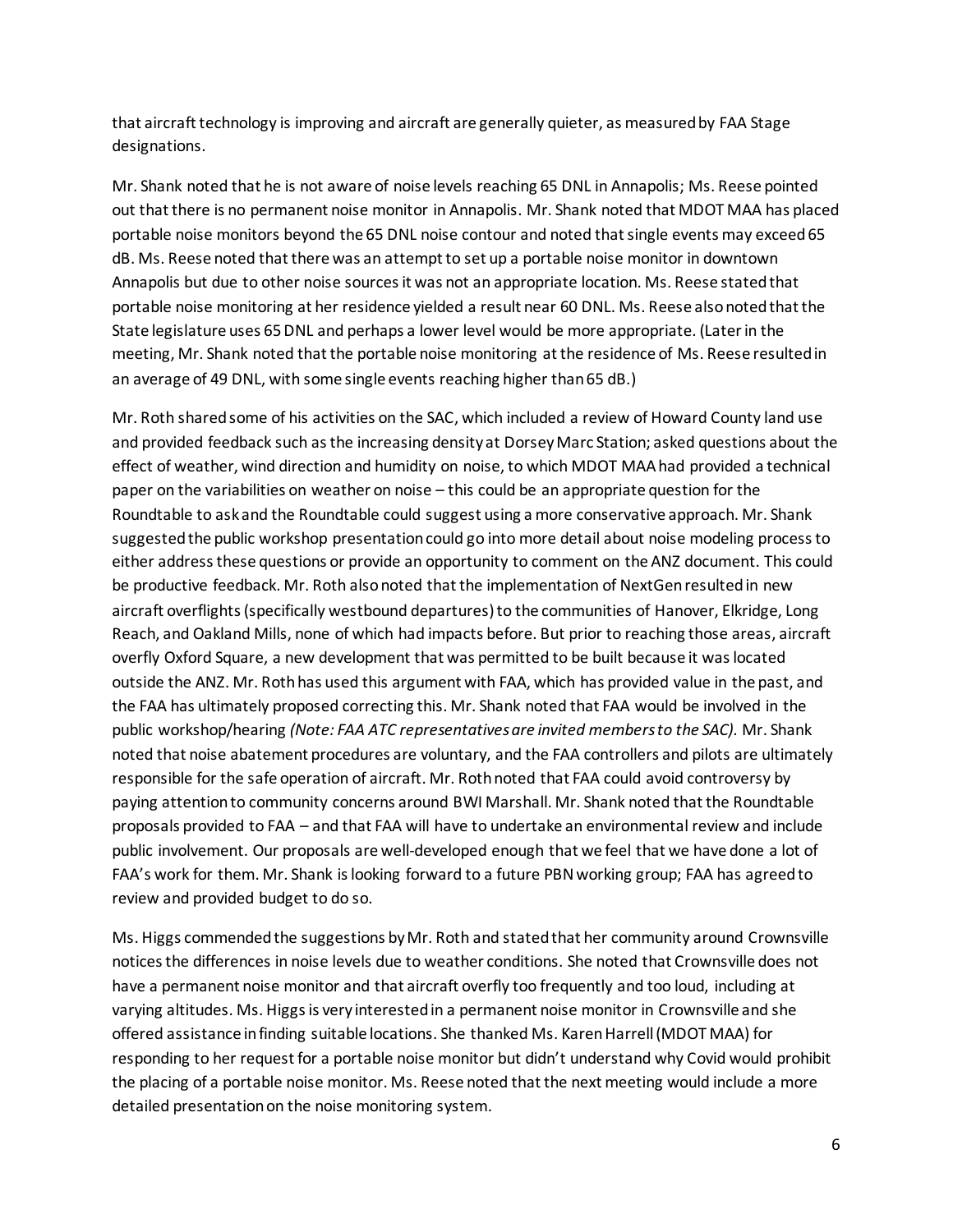that aircraft technology is improving and aircraft are generally quieter, as measured by FAA Stage designations.

Mr. Shank noted that he is not aware of noise levels reaching 65 DNL in Annapolis; Ms. Reese pointed out that there is no permanent noise monitor in Annapolis. Mr. Shank noted that MDOT MAA has placed portable noise monitors beyond the 65 DNL noise contour and noted that single events may exceed 65 dB. Ms. Reese noted that there was an attempt to set up a portable noise monitor in downtown Annapolis but due to other noise sources it was not an appropriate location. Ms. Reese stated that portable noise monitoring at her residence yielded a result near 60 DNL. Ms. Reese also noted that the State legislature uses 65 DNL and perhaps a lower level would be more appropriate. (Later in the meeting, Mr. Shank noted that the portable noise monitoring at the residence of Ms. Reese resulted in an average of 49 DNL, with some single events reaching higher than 65 dB.)

Mr. Roth shared some of his activities on the SAC, which included a review of Howard County land use and provided feedback such as the increasing density at Dorsey Marc Station; asked questions about the effect of weather, wind direction and humidity on noise, to which MDOT MAA had provided a technical paper on the variabilities on weather on noise – this could be an appropriate question for the Roundtable to askand the Roundtable could suggest using a more conservative approach. Mr. Shank suggested the public workshop presentation could go into more detail about noise modeling process to either address these questions or provide an opportunity to comment on the ANZ document. This could be productive feedback. Mr. Roth also noted that the implementation of NextGen resulted in new aircraft overflights (specifically westbound departures) to the communities of Hanover, Elkridge, Long Reach, and Oakland Mills, none of which had impacts before. But prior to reaching those areas, aircraft overfly Oxford Square, a new development that was permitted to be built because it was located outside the ANZ. Mr. Roth has used this argument with FAA, which has provided value in the past, and the FAA has ultimately proposed correcting this. Mr. Shank noted that FAA would be involved in the public workshop/hearing *(Note: FAA ATC representatives are invited members to the SAC)*. Mr. Shank noted that noise abatement procedures are voluntary, and the FAA controllers and pilots are ultimately responsible for the safe operation of aircraft. Mr. Roth noted that FAA could avoid controversy by paying attention to community concerns around BWI Marshall. Mr. Shank noted that the Roundtable proposals provided to FAA – and that FAA will have to undertake an environmental review and include public involvement. Our proposals are well-developed enough that we feel that we have done a lot of FAA's work for them. Mr. Shank is looking forward to a future PBN working group; FAA has agreed to review and provided budget to do so.

Ms. Higgs commended the suggestions by Mr. Roth and stated that her community around Crownsville notices the differences in noise levels due to weather conditions. She noted that Crownsville does not have a permanent noise monitor and that aircraft overfly too frequently and too loud, including at varying altitudes. Ms. Higgs is very interested in a permanent noise monitor in Crownsville and she offered assistance in finding suitable locations. She thanked Ms. Karen Harrell (MDOT MAA) for responding to her request for a portable noise monitor but didn't understand why Covid would prohibit the placing of a portable noise monitor. Ms. Reese noted that the next meeting would include a more detailed presentation on the noise monitoring system.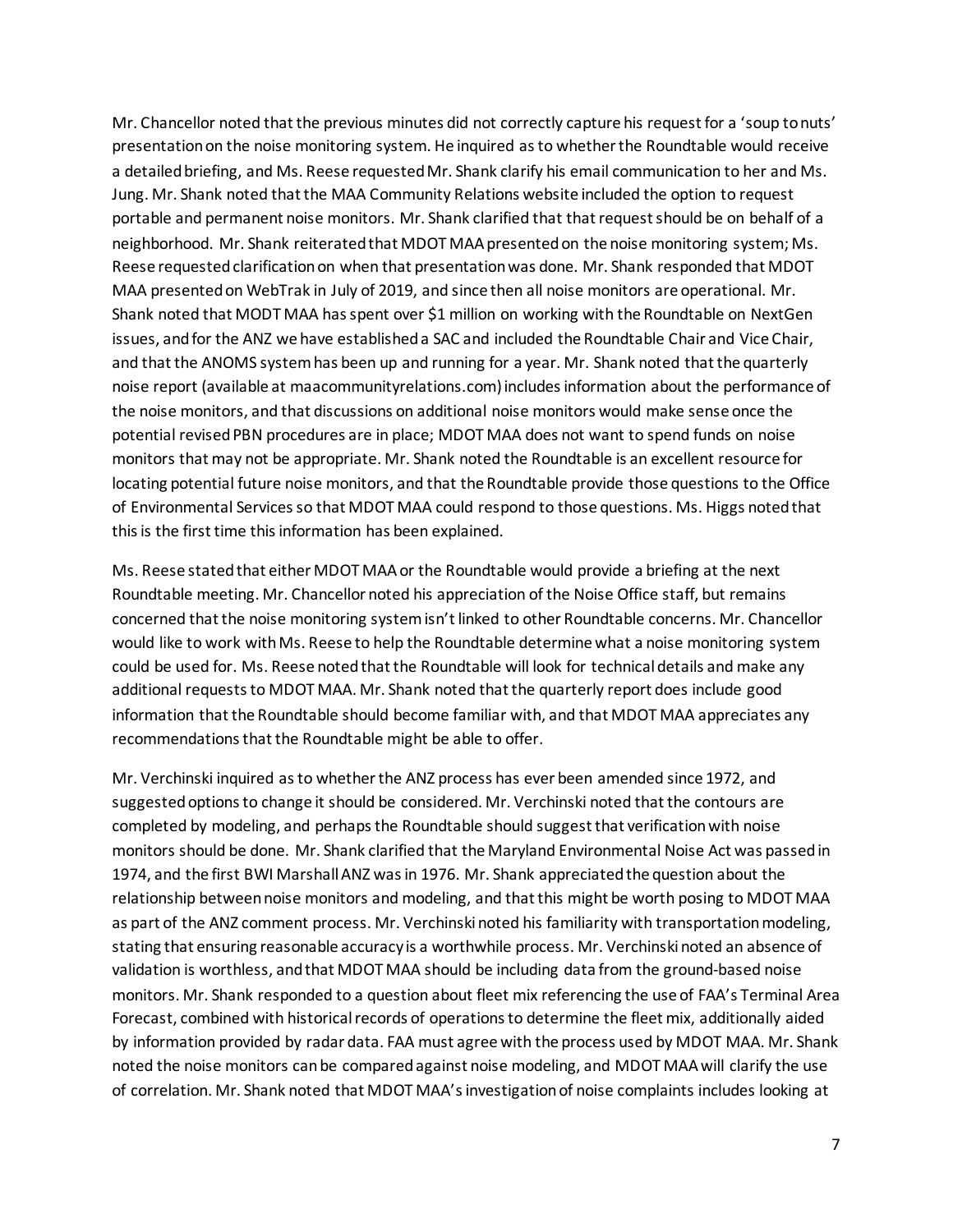Mr. Chancellor noted that the previous minutes did not correctly capture his request for a 'soup to nuts' presentation on the noise monitoring system. He inquired as to whether the Roundtable would receive a detailed briefing, and Ms. Reese requested Mr. Shank clarify his email communication to her and Ms. Jung. Mr. Shank noted that the MAA Community Relations website included the option to request portable and permanent noise monitors. Mr. Shank clarified that that request should be on behalf of a neighborhood. Mr. Shank reiterated that MDOT MAA presented on the noise monitoring system; Ms. Reese requested clarification on when that presentation was done. Mr. Shank responded that MDOT MAA presented on WebTrak in July of 2019, and since then all noise monitors are operational. Mr. Shank noted that MODT MAA has spent over \$1 million on working with the Roundtable on NextGen issues, and for the ANZ we have established a SAC and included the Roundtable Chair and Vice Chair, and that the ANOMS system has been up and running for a year. Mr. Shank noted that the quarterly noise report (available at maacommunityrelations.com) includes information about the performance of the noise monitors, and that discussions on additional noise monitors would make sense once the potential revised PBN procedures are in place; MDOT MAA does not want to spend funds on noise monitors that may not be appropriate. Mr. Shank noted the Roundtable is an excellent resource for locating potential future noise monitors, and that the Roundtable provide those questions to the Office of Environmental Services so that MDOT MAA could respond to those questions. Ms. Higgs noted that this is the first time this information has been explained.

Ms. Reese stated that either MDOT MAA or the Roundtable would provide a briefing at the next Roundtable meeting. Mr. Chancellor noted his appreciation of the Noise Office staff, but remains concerned that the noise monitoring system isn't linked to other Roundtable concerns. Mr. Chancellor would like to work with Ms. Reese to help the Roundtable determine what a noise monitoring system could be used for. Ms. Reese noted that the Roundtable will look for technical details and make any additional requests to MDOT MAA. Mr. Shank noted that the quarterly report does include good information that the Roundtable should become familiar with, and that MDOT MAA appreciates any recommendations that the Roundtable might be able to offer.

Mr. Verchinski inquired as to whether the ANZ process has ever been amended since 1972, and suggested options to change it should be considered. Mr. Verchinski noted that the contours are completed by modeling, and perhaps the Roundtable should suggest that verification with noise monitors should be done. Mr. Shank clarified that the Maryland Environmental Noise Act was passed in 1974, and the first BWI Marshall ANZ was in 1976. Mr. Shank appreciated the question about the relationship between noise monitors and modeling, and that this might be worth posing to MDOT MAA as part of the ANZ comment process. Mr. Verchinski noted his familiarity with transportation modeling, stating that ensuring reasonable accuracy is a worthwhile process. Mr. Verchinski noted an absence of validation is worthless, and that MDOT MAA should be including data from the ground-based noise monitors. Mr. Shank responded to a question about fleet mix referencing the use of FAA's Terminal Area Forecast, combined with historical records of operations to determine the fleet mix, additionally aided by information provided by radar data. FAA must agree with the process used by MDOT MAA. Mr. Shank noted the noise monitors can be compared against noise modeling, and MDOT MAA will clarify the use of correlation. Mr. Shank noted that MDOT MAA's investigation of noise complaints includes looking at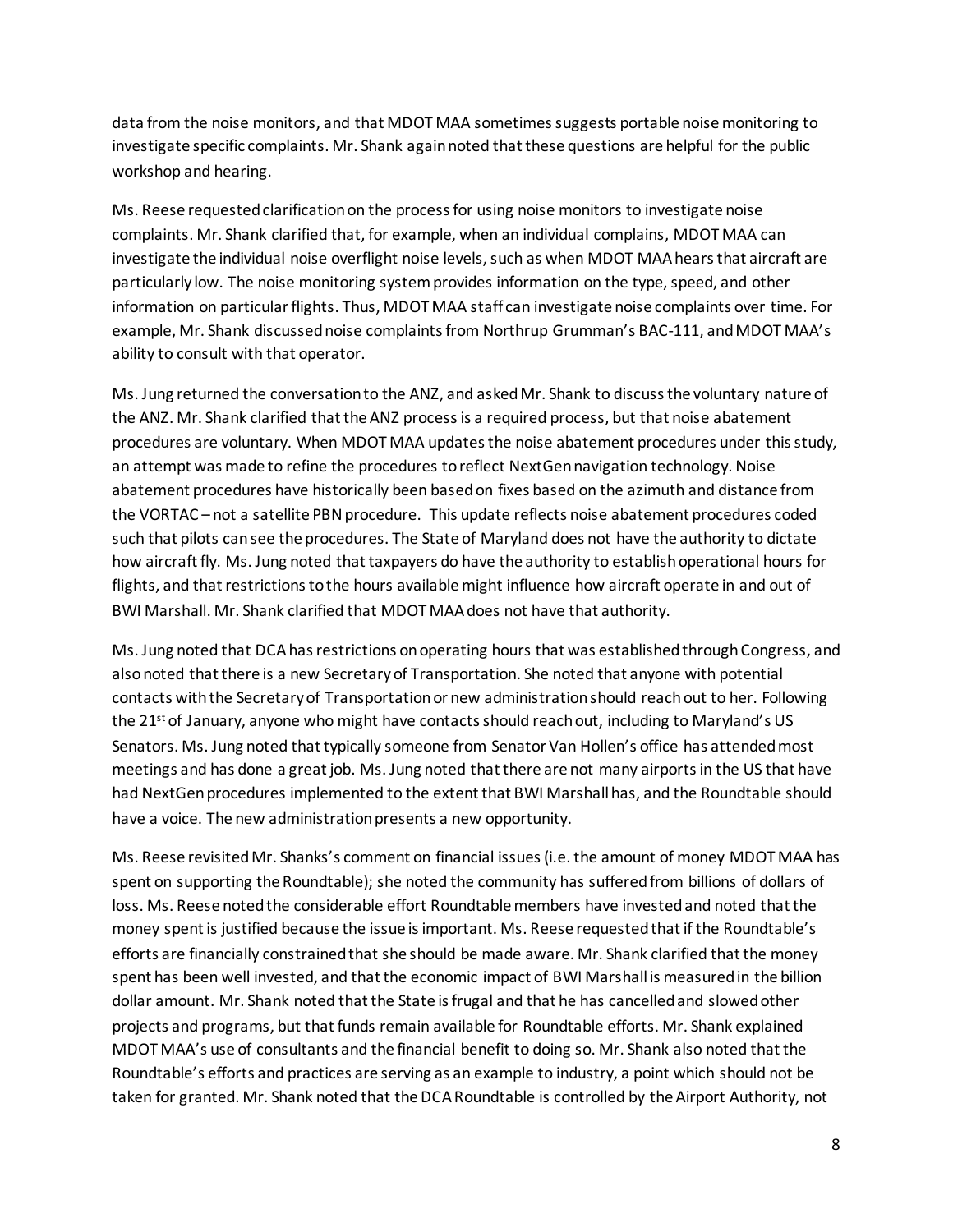data from the noise monitors, and that MDOT MAA sometimes suggests portable noise monitoring to investigate specific complaints. Mr. Shank again noted that these questions are helpful for the public workshop and hearing.

Ms. Reese requested clarification on the process for using noise monitors to investigate noise complaints. Mr. Shank clarified that, for example, when an individual complains, MDOT MAA can investigate the individual noise overflight noise levels, such as when MDOT MAA hears that aircraft are particularly low. The noise monitoring system provides information on the type, speed, and other information on particular flights. Thus, MDOT MAA staff can investigate noise complaints over time. For example, Mr. Shank discussed noise complaints from Northrup Grumman's BAC-111, and MDOT MAA's ability to consult with that operator.

Ms. Jung returned the conversation to the ANZ, and asked Mr. Shank to discuss the voluntary nature of the ANZ. Mr. Shank clarified that the ANZ process is a required process, but that noise abatement procedures are voluntary. When MDOT MAA updates the noise abatement procedures under this study, an attempt was made to refine the procedures to reflect NextGennavigation technology. Noise abatement procedures have historically been based on fixes based on the azimuth and distance from the VORTAC – not a satellite PBN procedure. This update reflects noise abatement procedures coded such that pilots can see the procedures. The State of Maryland does not have the authority to dictate how aircraft fly. Ms. Jung noted that taxpayers do have the authority to establish operational hours for flights, and that restrictions to the hours available might influence how aircraft operate in and out of BWI Marshall. Mr. Shank clarified that MDOT MAA does not have that authority.

Ms. Jung noted that DCA has restrictions on operating hours that was established through Congress, and also noted that there is a new Secretary of Transportation. She noted that anyone with potential contacts with the Secretary of Transportation or new administration should reach out to her. Following the 21<sup>st</sup> of January, anyone who might have contacts should reach out, including to Maryland's US Senators. Ms. Jung noted that typically someone from Senator Van Hollen's office has attended most meetings and has done a great job. Ms. Jung noted that there are not many airports in the US that have had NextGen procedures implemented to the extent that BWI Marshall has, and the Roundtable should have a voice. The new administration presents a new opportunity.

Ms. Reese revisited Mr. Shanks's comment on financial issues (i.e. the amount of money MDOT MAA has spent on supporting the Roundtable); she noted the community has suffered from billions of dollars of loss. Ms. Reese noted the considerable effort Roundtable members have invested and noted that the money spent is justified because the issue is important. Ms. Reese requested that if the Roundtable's efforts are financially constrained that she should be made aware. Mr. Shank clarified that the money spent has been well invested, and that the economic impact of BWI Marshall is measured in the billion dollar amount. Mr. Shank noted that the State is frugal and that he has cancelled and slowed other projects and programs, but that funds remain available for Roundtable efforts. Mr. Shank explained MDOT MAA's use of consultants and the financial benefit to doing so. Mr. Shank also noted that the Roundtable's efforts and practices are serving as an example to industry, a point which should not be taken for granted. Mr. Shank noted that the DCA Roundtable is controlled by the Airport Authority, not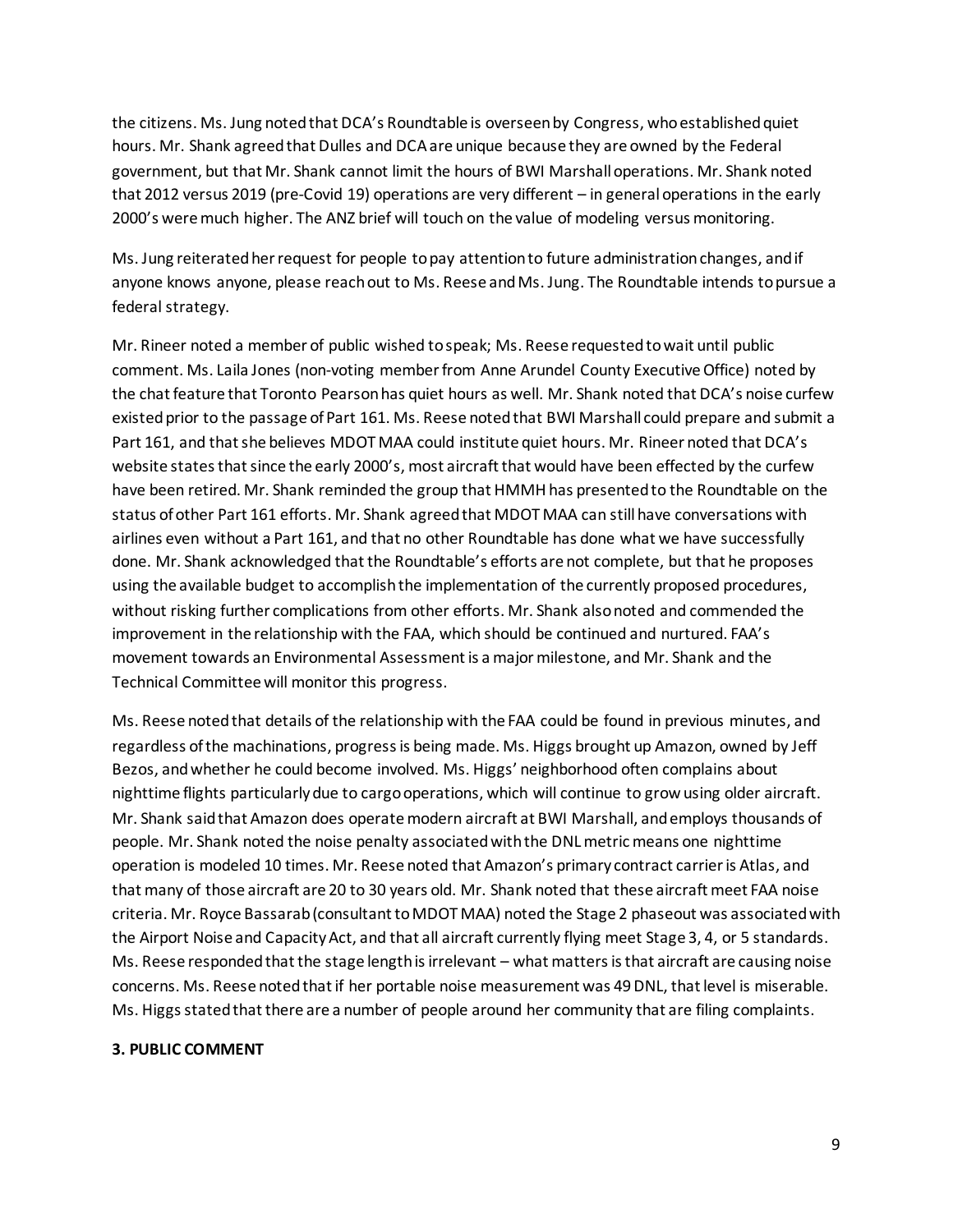the citizens. Ms. Jung noted that DCA's Roundtable is overseen by Congress, who established quiet hours. Mr. Shank agreed that Dulles and DCA are unique because they are owned by the Federal government, but that Mr. Shank cannot limit the hours of BWI Marshall operations. Mr. Shank noted that 2012 versus 2019 (pre-Covid 19) operations are very different – in general operations in the early 2000's were much higher. The ANZ brief will touch on the value of modeling versus monitoring.

Ms. Jung reiterated her request for people to pay attention to future administration changes, and if anyone knows anyone, please reach out to Ms. Reese and Ms. Jung. The Roundtable intends to pursue a federal strategy.

Mr. Rineer noted a member of public wished to speak; Ms. Reese requested to wait until public comment. Ms. Laila Jones (non-voting member from Anne Arundel County Executive Office) noted by the chat feature that Toronto Pearson has quiet hours as well. Mr. Shank noted that DCA's noise curfew existed prior to the passage of Part 161. Ms. Reese noted that BWI Marshall could prepare and submit a Part 161, and that she believes MDOT MAA could institute quiet hours. Mr. Rineer noted that DCA's website states that since the early 2000's, most aircraft that would have been effected by the curfew have been retired. Mr. Shank reminded the group that HMMH has presented to the Roundtable on the status of other Part 161 efforts. Mr. Shank agreed that MDOT MAA can still have conversations with airlines even without a Part 161, and that no other Roundtable has done what we have successfully done. Mr. Shank acknowledged that the Roundtable's efforts are not complete, but that he proposes using the available budget to accomplish the implementation of the currently proposed procedures, without risking further complications from other efforts. Mr. Shank also noted and commended the improvement in the relationship with the FAA, which should be continued and nurtured. FAA's movement towards an Environmental Assessment is a major milestone, and Mr. Shank and the Technical Committee will monitor this progress.

Ms. Reese noted that details of the relationship with the FAA could be found in previous minutes, and regardless of the machinations, progress is being made. Ms. Higgs brought up Amazon, owned by Jeff Bezos, and whether he could become involved. Ms. Higgs' neighborhood often complains about nighttime flights particularly due to cargo operations, which will continue to grow using older aircraft. Mr. Shank said that Amazon does operate modern aircraft at BWI Marshall, and employs thousands of people. Mr. Shank noted the noise penalty associated with the DNL metric means one nighttime operation is modeled 10 times. Mr. Reese noted that Amazon's primary contract carrier is Atlas, and that many of those aircraft are 20 to 30 years old. Mr. Shank noted that these aircraft meet FAA noise criteria. Mr. Royce Bassarab (consultant to MDOT MAA) noted the Stage 2 phaseout was associated with the Airport Noise and Capacity Act, and that all aircraft currently flying meet Stage 3, 4, or 5 standards. Ms. Reese responded that the stage length is irrelevant – what matters is that aircraft are causing noise concerns. Ms. Reese noted that if her portable noise measurement was 49 DNL, that level is miserable. Ms. Higgs stated that there are a number of people around her community that are filing complaints.

### **3. PUBLIC COMMENT**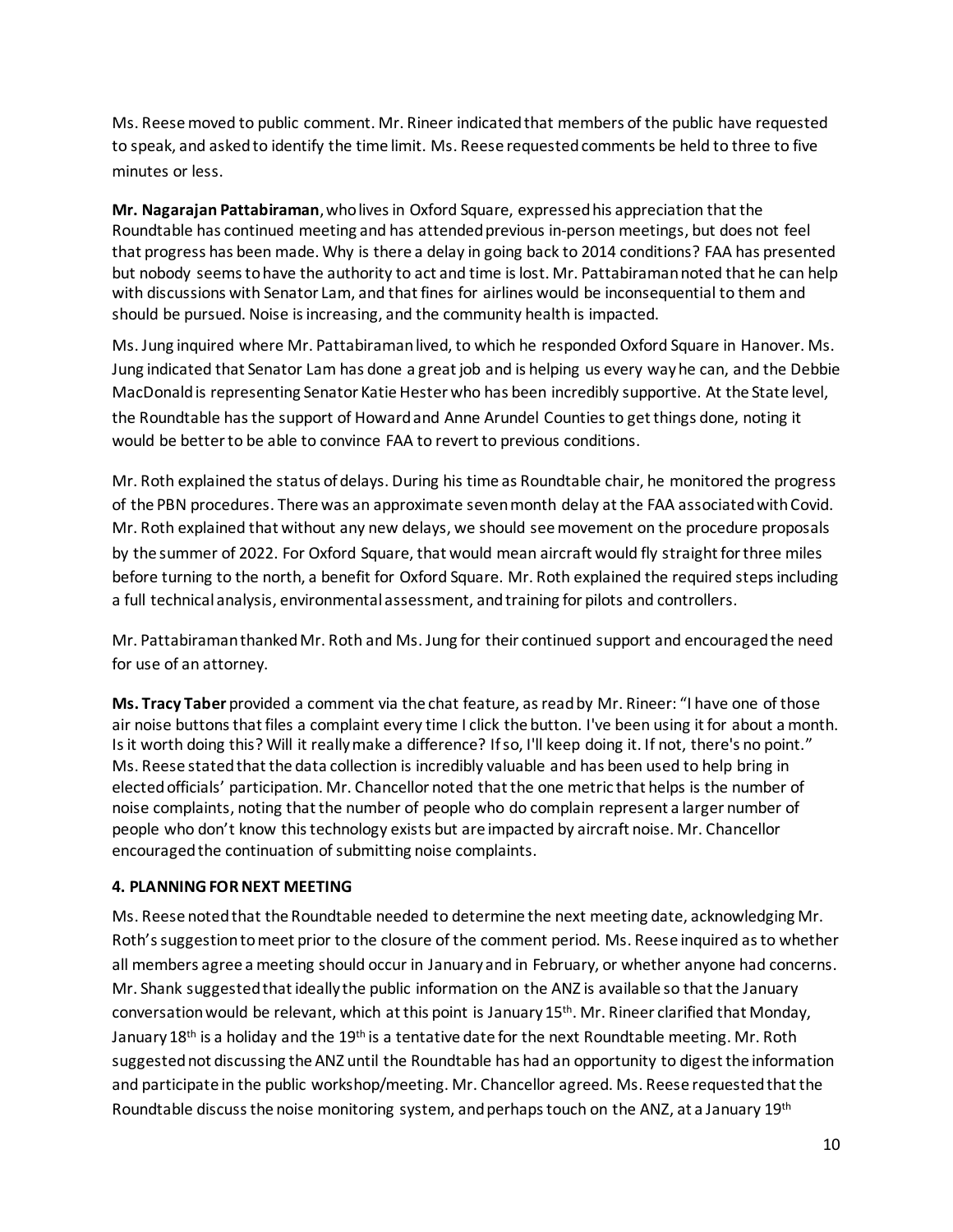Ms. Reese moved to public comment. Mr. Rineer indicated that members of the public have requested to speak, and asked to identify the time limit. Ms. Reese requested comments be held to three to five minutes or less.

**Mr. Nagarajan Pattabiraman**, who lives in Oxford Square, expressed his appreciation that the Roundtable has continued meeting and has attended previous in-person meetings, but does not feel that progress has been made. Why is there a delay in going back to 2014 conditions? FAA has presented but nobody seems to have the authority to act and time is lost. Mr. Pattabiraman noted that he can help with discussions with Senator Lam, and that fines for airlines would be inconsequential to them and should be pursued. Noise is increasing, and the community health is impacted.

Ms. Jung inquired where Mr. Pattabiraman lived, to which he responded Oxford Square in Hanover. Ms. Jung indicated that Senator Lam has done a great job and is helping us every way he can, and the Debbie MacDonald is representing Senator Katie Hester who has been incredibly supportive. At the State level, the Roundtable has the support of Howard and Anne Arundel Counties to get things done, noting it would be better to be able to convince FAA to revert to previous conditions.

Mr. Roth explained the status of delays. During his time as Roundtable chair, he monitored the progress of the PBN procedures. There was an approximate seven month delay at the FAA associated with Covid. Mr. Roth explained that without any new delays, we should see movement on the procedure proposals by the summer of 2022. For Oxford Square, that would mean aircraft would fly straight for three miles before turning to the north, a benefit for Oxford Square. Mr. Roth explained the required steps including a full technical analysis, environmental assessment, and training for pilots and controllers.

Mr. Pattabiraman thanked Mr. Roth and Ms. Jung for their continued support and encouraged the need for use of an attorney.

**Ms. Tracy Taber** provided a comment via the chat feature, as read by Mr. Rineer: "I have one of those air noise buttons that files a complaint every time I click the button. I've been using it for about a month. Is it worth doing this? Will it really make a difference? If so, I'll keep doing it. If not, there's no point." Ms. Reese stated that the data collection is incredibly valuable and has been used to help bring in elected officials' participation. Mr. Chancellor noted that the one metric that helps is the number of noise complaints, noting that the number of people who do complain represent a larger number of people who don't know this technology exists but are impacted by aircraft noise. Mr. Chancellor encouraged the continuation of submitting noise complaints.

# **4. PLANNING FORNEXT MEETING**

Ms. Reese noted that the Roundtable needed to determine the next meeting date, acknowledging Mr. Roth's suggestion to meet prior to the closure of the comment period. Ms. Reese inquired as to whether all members agree a meeting should occur in January and in February, or whether anyone had concerns. Mr. Shank suggested that ideally the public information on the ANZ is available so that the January conversation would be relevant, which at this point is January 15<sup>th</sup>. Mr. Rineer clarified that Monday, January 18<sup>th</sup> is a holiday and the 19<sup>th</sup> is a tentative date for the next Roundtable meeting. Mr. Roth suggested not discussing the ANZ until the Roundtable has had an opportunity to digest the information and participate in the public workshop/meeting. Mr. Chancellor agreed. Ms. Reese requested that the Roundtable discuss the noise monitoring system, and perhaps touch on the ANZ, at a January 19th